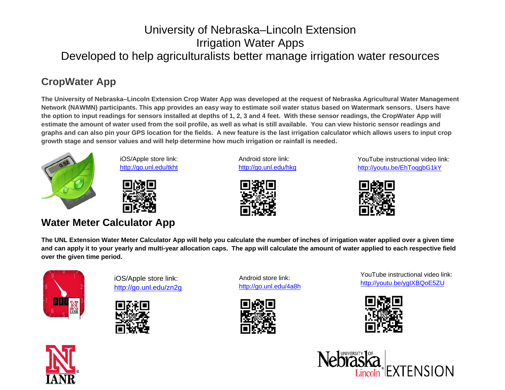## University of Nebraska–Lincoln Extension Irrigation Water Apps Developed to help agriculturalists better manage irrigation water resources

# **CropWater App**

**The University of Nebraska–Lincoln Extension Crop Water App was developed at the request of Nebraska Agricultural Water Management Network (NAWMN) participants. This app provides an easy way to estimate soil water status based on Watermark sensors. Users have the option to input readings for sensors installed at depths of 1, 2, 3 and 4 feet. With these sensor readings, the CropWater App will estimate the amount of water used from the soil profile, as well as what is still available. You can view historic sensor readings and graphs and can also pin your GPS location for the fields. A new feature is the last irrigation calculator which allows users to input crop growth stage and sensor values and will help determine how much irrigation or rainfall is needed.** 



iOS/Apple store link: http://go.unl.edu/tkht



#### **Water Meter Calculator App**

Android store link: http://go.unl.edu/hkg



YouTube instructional video link: http://youtu.be/EhToqgbG1kY



**The UNL Extension Water Meter Calculator App will help you calculate the number of inches of irrigation water applied over a given time and can apply it to your yearly and multi-year allocation caps. The app will calculate the amount of water applied to each respective field over the given time period.** 



iOS/Apple store link: http://go.unl.edu/zn2g



Android store link: http://go.unl.edu/4a8h



YouTube instructional video link: http://youtu.be/ygIXBQoE5ZU